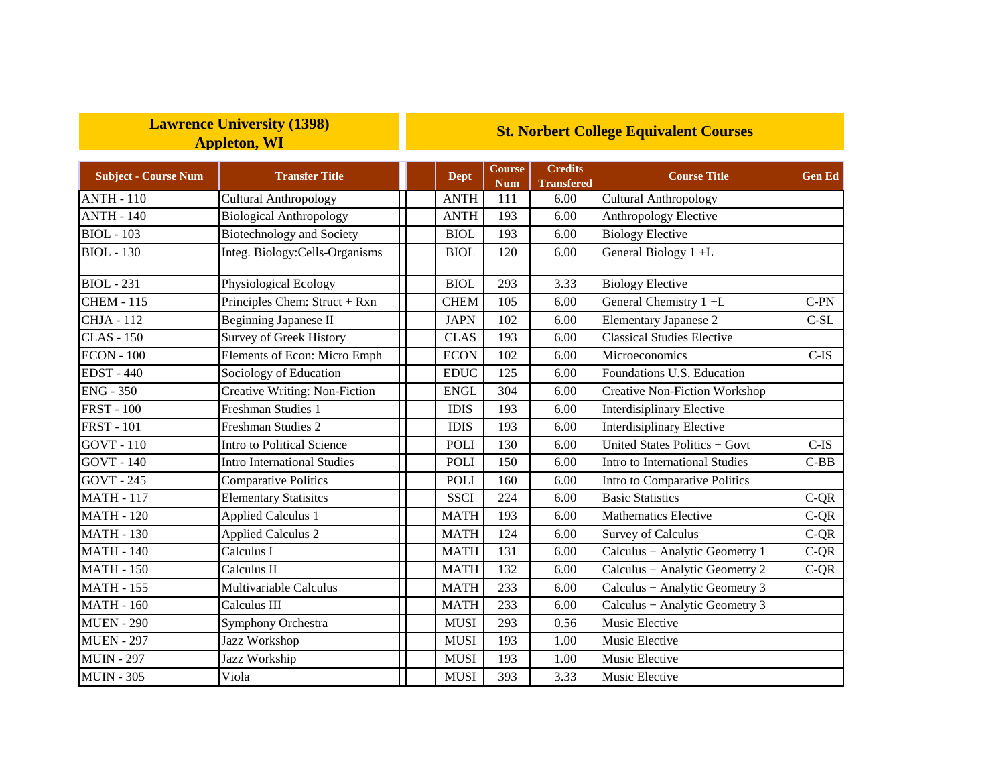## **Lawrence University (1398) Appleton, WI**

## **St. Norbert College Equivalent Courses**

| <b>Subject - Course Num</b> | <b>Transfer Title</b>                | <b>Dept</b> | <b>Course</b><br><b>Num</b> | <b>Credits</b><br><b>Transfered</b> | <b>Course Title</b>                                | <b>Gen Ed</b> |
|-----------------------------|--------------------------------------|-------------|-----------------------------|-------------------------------------|----------------------------------------------------|---------------|
| <b>ANTH - 110</b>           | <b>Cultural Anthropology</b>         | <b>ANTH</b> | 111                         | 6.00                                | <b>Cultural Anthropology</b>                       |               |
| <b>ANTH - 140</b>           | <b>Biological Anthropology</b>       | <b>ANTH</b> | 193                         | 6.00                                | Anthropology Elective                              |               |
| <b>BIOL</b> - 103           | <b>Biotechnology and Society</b>     | <b>BIOL</b> | 193                         | 6.00                                | <b>Biology Elective</b>                            |               |
| <b>BIOL</b> - 130           | Integ. Biology: Cells-Organisms      | <b>BIOL</b> | 120                         | 6.00                                | General Biology 1+L                                |               |
| $BIOL - 231$                | <b>Physiological Ecology</b>         | <b>BIOL</b> | 293                         | 3.33                                | <b>Biology Elective</b>                            |               |
| <b>CHEM - 115</b>           | Principles Chem: Struct + Rxn        | <b>CHEM</b> | 105                         | 6.00                                | General Chemistry 1 +L                             | $C-PN$        |
| <b>CHJA - 112</b>           | <b>Beginning Japanese II</b>         | <b>JAPN</b> | 102                         | 6.00                                | <b>Elementary Japanese 2</b>                       | $C-SL$        |
| <b>CLAS</b> - 150           | <b>Survey of Greek History</b>       | <b>CLAS</b> | 193                         | 6.00                                | <b>Classical Studies Elective</b>                  |               |
| <b>ECON - 100</b>           | Elements of Econ: Micro Emph         | <b>ECON</b> | 102                         | 6.00                                | Microeconomics                                     | $C$ -IS       |
| <b>EDST-440</b>             | Sociology of Education               | <b>EDUC</b> | 125                         | 6.00                                | Foundations U.S. Education                         |               |
| $ENG - 350$                 | <b>Creative Writing: Non-Fiction</b> | <b>ENGL</b> | 304                         | 6.00                                | <b>Creative Non-Fiction Workshop</b>               |               |
| <b>FRST - 100</b>           | Freshman Studies 1                   | <b>IDIS</b> | 193                         | 6.00                                | Interdisiplinary Elective                          |               |
| <b>FRST - 101</b>           | Freshman Studies 2                   | <b>IDIS</b> | 193                         | 6.00                                | Interdisiplinary Elective                          |               |
| <b>GOVT - 110</b>           | Intro to Political Science           | POLI        | 130                         | 6.00                                | United States Politics + Govt                      | $C$ -IS       |
| <b>GOVT</b> - 140           | <b>Intro International Studies</b>   | <b>POLI</b> | 150                         | 6.00                                | Intro to International Studies                     | $C-BB$        |
| <b>GOVT - 245</b>           | <b>Comparative Politics</b>          | POLI        | 160                         | 6.00                                | Intro to Comparative Politics                      |               |
| <b>MATH - 117</b>           | <b>Elementary Statisites</b>         | <b>SSCI</b> | 224                         | 6.00                                | <b>Basic Statistics</b>                            | $C-QR$        |
| <b>MATH - 120</b>           | <b>Applied Calculus 1</b>            | <b>MATH</b> | 193                         | 6.00                                | <b>Mathematics Elective</b>                        | $C-QR$        |
| <b>MATH - 130</b>           | <b>Applied Calculus 2</b>            | <b>MATH</b> | 124                         | 6.00                                | <b>Survey of Calculus</b>                          | $C-QR$        |
| <b>MATH - 140</b>           | Calculus I                           | <b>MATH</b> | 131                         | 6.00                                | Calculus + Analytic Geometry 1                     | $C-QR$        |
| <b>MATH - 150</b>           | $\overline{\text{Calculus}}$ II      | <b>MATH</b> | 132                         | 6.00                                | Calculus + Analytic Geometry 2                     | $C-QR$        |
| <b>MATH - 155</b>           | Multivariable Calculus               | <b>MATH</b> | 233                         | 6.00                                | Calculus + Analytic Geometry 3                     |               |
| <b>MATH - 160</b>           | Calculus III                         | <b>MATH</b> | 233                         | 6.00                                | $\overline{\text{Calculus}}$ + Analytic Geometry 3 |               |
| <b>MUEN - 290</b>           | Symphony Orchestra                   | <b>MUSI</b> | 293                         | 0.56                                | Music Elective                                     |               |
| <b>MUEN - 297</b>           | Jazz Workshop                        | <b>MUSI</b> | 193                         | 1.00                                | Music Elective                                     |               |
| <b>MUIN - 297</b>           | Jazz Workship                        | <b>MUSI</b> | 193                         | 1.00                                | Music Elective                                     |               |
| <b>MUIN - 305</b>           | Viola                                | <b>MUSI</b> | 393                         | 3.33                                | Music Elective                                     |               |